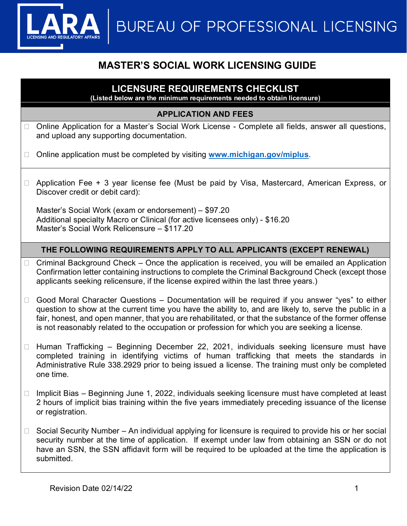**BUREAU OF PROFESSIONAL LICENSING** 

# **MASTER'S SOCIAL WORK LICENSING GUIDE**

## **LICENSURE REQUIREMENTS CHECKLIST**

**(Listed below are the minimum requirements needed to obtain licensure)**

#### **APPLICATION AND FEES**

- □ Online Application for a Master's Social Work License Complete all fields, answer all questions, and upload any supporting documentation.
- □ Online application must be completed by visiting [www.michigan.gov/miplus](http://www.michigan.gov/miplus).
- □ Application Fee + 3 year license fee (Must be paid by Visa, Mastercard, American Express, or Discover credit or debit card):

Master's Social Work (exam or endorsement) – \$97.20 Additional specialty Macro or Clinical (for active licensees only) - \$16.20 Master's Social Work Relicensure – \$117.20

### **THE FOLLOWING REQUIREMENTS APPLY TO ALL APPLICANTS (EXCEPT RENEWAL)**

- $\Box$  Criminal Background Check Once the application is received, you will be emailed an Application Confirmation letter containing instructions to complete the Criminal Background Check (except those applicants seeking relicensure, if the license expired within the last three years.)
- $\Box$  Good Moral Character Questions Documentation will be required if you answer "yes" to either question to show at the current time you have the ability to, and are likely to, serve the public in a fair, honest, and open manner, that you are rehabilitated, or that the substance of the former offense is not reasonably related to the occupation or profession for which you are seeking a license.
- $\Box$  Human Trafficking Beginning December 22, 2021, individuals seeking licensure must have completed training in identifying victims of human trafficking that meets the standards in Administrative Rule 338.2929 prior to being issued a license. The training must only be completed one time.
- $\Box$  Implicit Bias Beginning June 1, 2022, individuals seeking licensure must have completed at least 2 hours of implicit bias training within the five years immediately preceding issuance of the license or registration.
- $\Box$  Social Security Number An individual applying for licensure is required to provide his or her social security number at the time of application. If exempt under law from obtaining an SSN or do not have an SSN, the SSN affidavit form will be required to be uploaded at the time the application is submitted.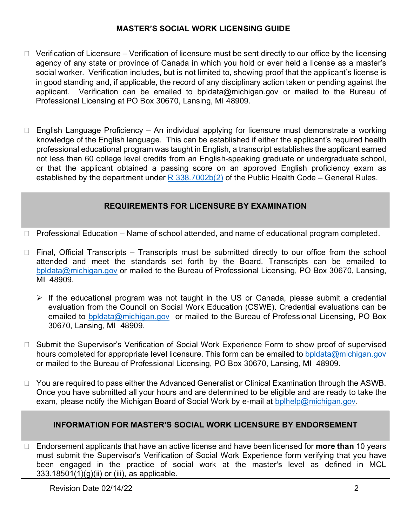## **MASTER'S SOCIAL WORK LICENSING GUIDE**

- Verification of Licensure Verification of licensure must be sent directly to our office by the licensing agency of any state or province of Canada in which you hold or ever held a license as a master's social worker. Verification includes, but is not limited to, showing proof that the applicant's license is in good standing and, if applicable, the record of any disciplinary action taken or pending against the applicant. Verification can be emailed to bpldata@michigan.gov or mailed to the Bureau of Professional Licensing at PO Box 30670, Lansing, MI 48909.
- $\Box$  English Language Proficiency An individual applying for licensure must demonstrate a working knowledge of the English language. This can be established if either the applicant's required health professional educational program was taught in English, a transcript establishes the applicant earned not less than 60 college level credits from an English-speaking graduate or undergraduate school, or that the applicant obtained a passing score on an approved English proficiency exam as established by the department under  $R$  338.7002b(2) of the Public Health Code – General Rules.

## **REQUIREMENTS FOR LICENSURE BY EXAMINATION**

 $\Box$  Professional Education – Name of school attended, and name of educational program completed.

- $\Box$  Final, Official Transcripts Transcripts must be submitted directly to our office from the school attended and meet the standards set forth by the Board. Transcripts can be emailed to [bpldata@michigan.gov](mailto:bpldata@michigan.gov) or mailed to the Bureau of Professional Licensing, PO Box 30670, Lansing, MI 48909.
	- $\triangleright$  If the educational program was not taught in the US or Canada, please submit a credential evaluation from the Council on Social Work Education (CSWE). Credential evaluations can be emailed to [bpldata@michigan.gov](mailto:bpldata@michigan.gov) or mailed to the Bureau of Professional Licensing, PO Box 30670, Lansing, MI 48909.
- □ Submit the Supervisor's Verification of Social Work Experience Form to show proof of supervised hours completed for appropriate level licensure. This form can be emailed to [bpldata@michigan.gov](mailto:bpldata@michigan.gov) or mailed to the Bureau of Professional Licensing, PO Box 30670, Lansing, MI 48909.
- $\Box$  You are required to pass either the Advanced Generalist or Clinical Examination through the ASWB. Once you have submitted all your hours and are determined to be eligible and are ready to take the exam, please notify the Michigan Board of Social Work by e-mail at **bplhelp@michigan.gov.**

#### **INFORMATION FOR MASTER'S SOCIAL WORK LICENSURE BY ENDORSEMENT**

 Endorsement applicants that have an active license and have been licensed for **more than** 10 years must submit the Supervisor's Verification of Social Work Experience form verifying that you have been engaged in the practice of social work at the master's level as defined in MCL  $333.18501(1)(g)(ii)$  or (iii), as applicable.

Revision Date 02/14/22 2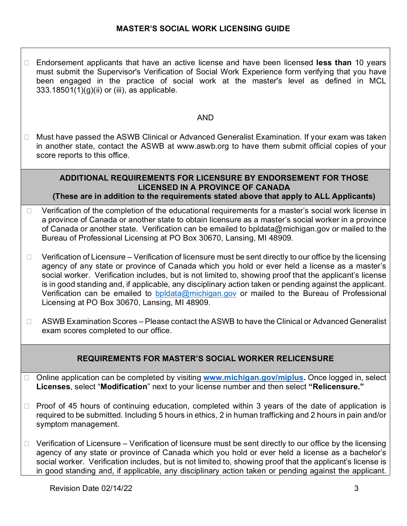Endorsement applicants that have an active license and have been licensed **less than** 10 years must submit the Supervisor's Verification of Social Work Experience form verifying that you have been engaged in the practice of social work at the master's level as defined in MCL 333.18501(1)(g)(ii) or (iii), as applicable.

#### AND

□ Must have passed the ASWB Clinical or Advanced Generalist Examination. If your exam was taken in another state, contact the ASWB at www.aswb.org to have them submit official copies of your score reports to this office.

#### **ADDITIONAL REQUIREMENTS FOR LICENSURE BY ENDORSEMENT FOR THOSE LICENSED IN A PROVINCE OF CANADA (These are in addition to the requirements stated above that apply to ALL Applicants)**

- $\Box$  Verification of the completion of the educational requirements for a master's social work license in a province of Canada or another state to obtain licensure as a master's social worker in a province of Canada or another state. Verification can be emailed to bpldata@michigan.gov or mailed to the Bureau of Professional Licensing at PO Box 30670, Lansing, MI 48909.
- $\Box$  Verification of Licensure Verification of licensure must be sent directly to our office by the licensing agency of any state or province of Canada which you hold or ever held a license as a master's social worker. Verification includes, but is not limited to, showing proof that the applicant's license is in good standing and, if applicable, any disciplinary action taken or pending against the applicant. Verification can be emailed to [bpldata@michigan.gov](mailto:bpldata@michigan.gov) or mailed to the Bureau of Professional Licensing at PO Box 30670, Lansing, MI 48909.
- $\Box$  ASWB Examination Scores Please contact the ASWB to have the Clinical or Advanced Generalist exam scores completed to our office.

## **REQUIREMENTS FOR MASTER'S SOCIAL WORKER RELICENSURE**

- □ Online application can be completed by visiting **[www.michigan.gov/miplus.](http://www.michigan.gov/miplus)** Once logged in, select **Licenses**, select "**Modification**" next to your license number and then select **"Relicensure."**
- $\Box$  Proof of 45 hours of continuing education, completed within 3 years of the date of application is required to be submitted. Including 5 hours in ethics, 2 in human trafficking and 2 hours in pain and/or symptom management.
- $\Box$  Verification of Licensure Verification of licensure must be sent directly to our office by the licensing agency of any state or province of Canada which you hold or ever held a license as a bachelor's social worker. Verification includes, but is not limited to, showing proof that the applicant's license is in good standing and, if applicable, any disciplinary action taken or pending against the applicant.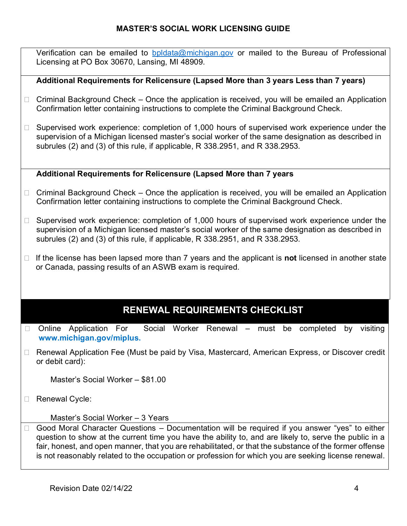## **MASTER'S SOCIAL WORK LICENSING GUIDE**

|        | Verification can be emailed to <b>bpldata@michigan.gov</b> or mailed to the Bureau of Professional<br>Licensing at PO Box 30670, Lansing, MI 48909.                                                                                                                                                                                                                                                                       |
|--------|---------------------------------------------------------------------------------------------------------------------------------------------------------------------------------------------------------------------------------------------------------------------------------------------------------------------------------------------------------------------------------------------------------------------------|
|        | Additional Requirements for Relicensure (Lapsed More than 3 years Less than 7 years)                                                                                                                                                                                                                                                                                                                                      |
| $\Box$ | Criminal Background Check – Once the application is received, you will be emailed an Application<br>Confirmation letter containing instructions to complete the Criminal Background Check.                                                                                                                                                                                                                                |
| $\Box$ | Supervised work experience: completion of 1,000 hours of supervised work experience under the<br>supervision of a Michigan licensed master's social worker of the same designation as described in<br>subrules (2) and (3) of this rule, if applicable, R 338.2951, and R 338.2953.                                                                                                                                       |
|        | Additional Requirements for Relicensure (Lapsed More than 7 years                                                                                                                                                                                                                                                                                                                                                         |
| $\Box$ | Criminal Background Check – Once the application is received, you will be emailed an Application<br>Confirmation letter containing instructions to complete the Criminal Background Check.                                                                                                                                                                                                                                |
| $\Box$ | Supervised work experience: completion of 1,000 hours of supervised work experience under the<br>supervision of a Michigan licensed master's social worker of the same designation as described in<br>subrules (2) and (3) of this rule, if applicable, R 338.2951, and R 338.2953.                                                                                                                                       |
| $\Box$ | If the license has been lapsed more than 7 years and the applicant is <b>not</b> licensed in another state<br>or Canada, passing results of an ASWB exam is required.                                                                                                                                                                                                                                                     |
|        | RENEWAL REQUIREMENTS CHECKLIST                                                                                                                                                                                                                                                                                                                                                                                            |
| $\Box$ | Application For<br>Social Worker Renewal - must be completed<br>Online<br>visiting<br>by<br>www.michigan.gov/miplus.                                                                                                                                                                                                                                                                                                      |
|        | Renewal Application Fee (Must be paid by Visa, Mastercard, American Express, or Discover credit<br>or debit card):                                                                                                                                                                                                                                                                                                        |
|        | Master's Social Worker - \$81.00                                                                                                                                                                                                                                                                                                                                                                                          |
| Ш      | <b>Renewal Cycle:</b>                                                                                                                                                                                                                                                                                                                                                                                                     |
|        | Master's Social Worker - 3 Years                                                                                                                                                                                                                                                                                                                                                                                          |
| $\Box$ | Good Moral Character Questions - Documentation will be required if you answer "yes" to either<br>question to show at the current time you have the ability to, and are likely to, serve the public in a<br>fair, honest, and open manner, that you are rehabilitated, or that the substance of the former offense<br>is not reasonably related to the occupation or profession for which you are seeking license renewal. |
|        |                                                                                                                                                                                                                                                                                                                                                                                                                           |